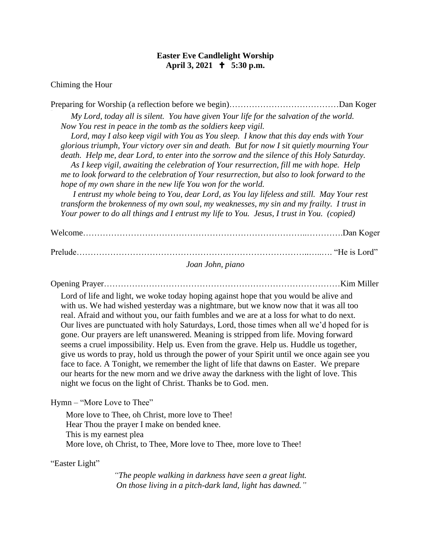## **Easter Eve Candlelight Worship April 3, 2021 5:30 p.m.**

## Chiming the Hour

Preparing for Worship (a reflection before we begin)…………………………………Dan Koger *My Lord, today all is silent. You have given Your life for the salvation of the world. Now You rest in peace in the tomb as the soldiers keep vigil. Lord, may I also keep vigil with You as You sleep. I know that this day ends with Your glorious triumph, Your victory over sin and death. But for now I sit quietly mourning Your death. Help me, dear Lord, to enter into the sorrow and the silence of this Holy Saturday. As I keep vigil, awaiting the celebration of Your resurrection, fill me with hope. Help me to look forward to the celebration of Your resurrection, but also to look forward to the hope of my own share in the new life You won for the world. I entrust my whole being to You, dear Lord, as You lay lifeless and still. May Your rest transform the brokenness of my own soul, my weaknesses, my sin and my frailty. I trust in Your power to do all things and I entrust my life to You. Jesus, I trust in You. (copied)* Welcome……………………………………………………………………..………….Dan Koger

Prelude………………………………………………………………………..…..…. "He is Lord"

*Joan John, piano*

Opening Prayer…………………………………………………………………………Kim Miller Lord of life and light, we woke today hoping against hope that you would be alive and with us. We had wished yesterday was a nightmare, but we know now that it was all too real. Afraid and without you, our faith fumbles and we are at a loss for what to do next. Our lives are punctuated with holy Saturdays, Lord, those times when all we'd hoped for is gone. Our prayers are left unanswered. Meaning is stripped from life. Moving forward seems a cruel impossibility. Help us. Even from the grave. Help us. Huddle us together, give us words to pray, hold us through the power of your Spirit until we once again see you face to face. A Tonight, we remember the light of life that dawns on Easter. We prepare our hearts for the new morn and we drive away the darkness with the light of love. This night we focus on the light of Christ. Thanks be to God. men.

Hymn – "More Love to Thee"

More love to Thee, oh Christ, more love to Thee! Hear Thou the prayer I make on bended knee. This is my earnest plea More love, oh Christ, to Thee, More love to Thee, more love to Thee!

"Easter Light"

*"The people walking in darkness have seen a great light. On those living in a pitch-dark land, light has dawned."*